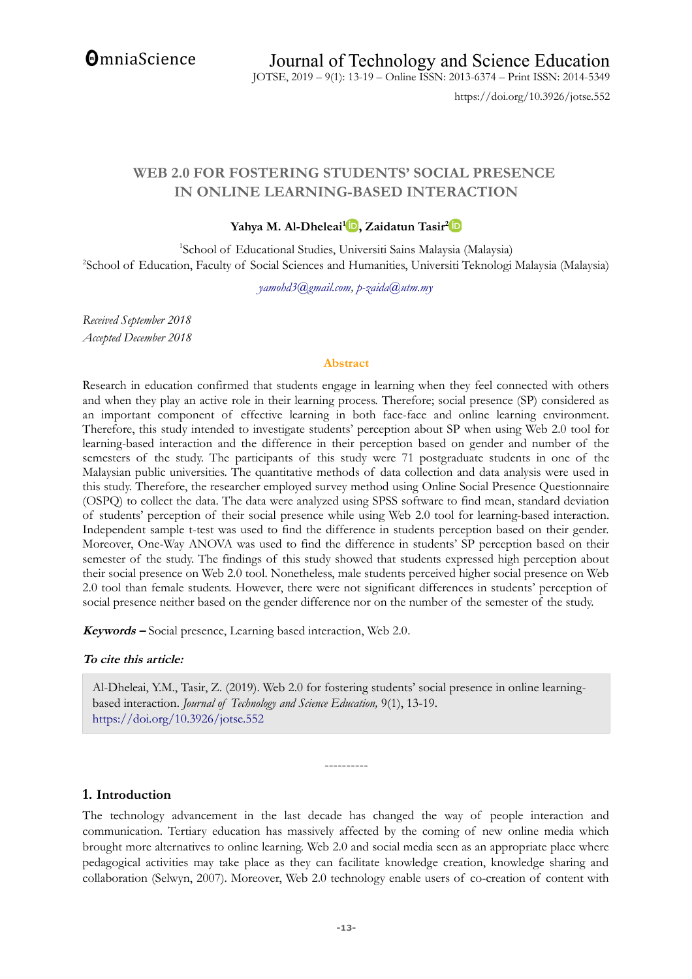**OmniaScience** 

https://doi.org/10.3926/jotse.552

# **WEB 2.0 FOR FOSTERING STUDENTS' SOCIAL PRESENCE IN ONLINE LEARNING-BASED INTERACTION**

### **Yahya M. Al-Dheleai[1](https://orcid.org/0000-0001-9678-402X) , Zaidatun Tasir[2](https://orcid.org/0000-0002-6340-3099)**

1 School of Educational Studies, Universiti Sains Malaysia (Malaysia) 2 School of Education, Faculty of Social Sciences and Humanities, Universiti Teknologi Malaysia (Malaysia)

*[yamohd3@gmail.com,](mailto:yamohd3@gmail.com) [p-zaida@utm.my](mailto:p-zaida@utm.my)*

*Received September 2018 Accepted December 2018*

#### **Abstract**

Research in education confirmed that students engage in learning when they feel connected with others and when they play an active role in their learning process. Therefore; social presence (SP) considered as an important component of effective learning in both face-face and online learning environment. Therefore, this study intended to investigate students' perception about SP when using Web 2.0 tool for learning-based interaction and the difference in their perception based on gender and number of the semesters of the study. The participants of this study were 71 postgraduate students in one of the Malaysian public universities. The quantitative methods of data collection and data analysis were used in this study. Therefore, the researcher employed survey method using Online Social Presence Questionnaire (OSPQ) to collect the data. The data were analyzed using SPSS software to find mean, standard deviation of students' perception of their social presence while using Web 2.0 tool for learning-based interaction. Independent sample t-test was used to find the difference in students perception based on their gender. Moreover, One-Way ANOVA was used to find the difference in students' SP perception based on their semester of the study. The findings of this study showed that students expressed high perception about their social presence on Web 2.0 tool. Nonetheless, male students perceived higher social presence on Web 2.0 tool than female students. However, there were not significant differences in students' perception of social presence neither based on the gender difference nor on the number of the semester of the study.

**Keywords –** Social presence, Learning based interaction, Web 2.0.

#### **To cite this article:**

Al-Dheleai, Y.M., Tasir, Z. (2019). Web 2.0 for fostering students' social presence in online learningbased interaction. *Journal of Technology and Science Education,* 9(1), 13-19. <https://doi.org/10.3926/jotse.552>

#### **1. Introduction**

The technology advancement in the last decade has changed the way of people interaction and communication. Tertiary education has massively affected by the coming of new online media which brought more alternatives to online learning. Web 2.0 and social media seen as an appropriate place where pedagogical activities may take place as they can facilitate knowledge creation, knowledge sharing and collaboration (Selwyn, 2007). Moreover, Web 2.0 technology enable users of co-creation of content with

----------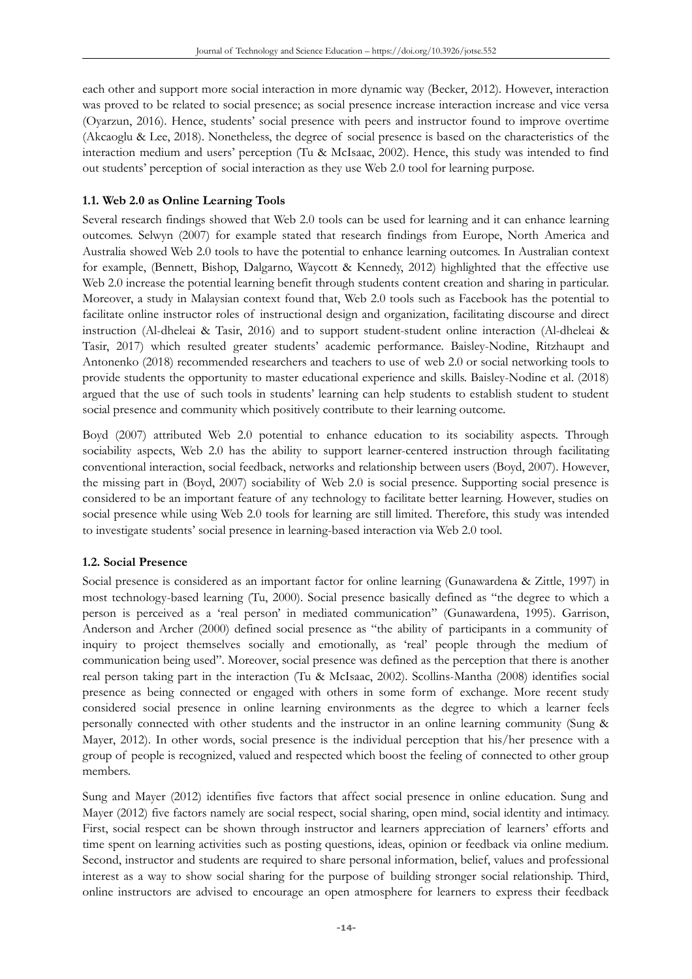each other and support more social interaction in more dynamic way (Becker, 2012). However, interaction was proved to be related to social presence; as social presence increase interaction increase and vice versa (Oyarzun, 2016). Hence, students' social presence with peers and instructor found to improve overtime (Akcaoglu & Lee, 2018). Nonetheless, the degree of social presence is based on the characteristics of the interaction medium and users' perception (Tu & McIsaac, 2002). Hence, this study was intended to find out students' perception of social interaction as they use Web 2.0 tool for learning purpose.

### **1.1. Web 2.0 as Online Learning Tools**

Several research findings showed that Web 2.0 tools can be used for learning and it can enhance learning outcomes. Selwyn (2007) for example stated that research findings from Europe, North America and Australia showed Web 2.0 tools to have the potential to enhance learning outcomes. In Australian context for example, (Bennett, Bishop, Dalgarno, Waycott & Kennedy, 2012) highlighted that the effective use Web 2.0 increase the potential learning benefit through students content creation and sharing in particular. Moreover, a study in Malaysian context found that, Web 2.0 tools such as Facebook has the potential to facilitate online instructor roles of instructional design and organization, facilitating discourse and direct instruction (Al-dheleai & Tasir, 2016) and to support student-student online interaction (Al-dheleai & Tasir, 2017) which resulted greater students' academic performance. Baisley-Nodine, Ritzhaupt and Antonenko (2018) recommended researchers and teachers to use of web 2.0 or social networking tools to provide students the opportunity to master educational experience and skills. Baisley-Nodine et al. (2018) argued that the use of such tools in students' learning can help students to establish student to student social presence and community which positively contribute to their learning outcome.

Boyd (2007) attributed Web 2.0 potential to enhance education to its sociability aspects. Through sociability aspects, Web 2.0 has the ability to support learner-centered instruction through facilitating conventional interaction, social feedback, networks and relationship between users (Boyd, 2007). However, the missing part in (Boyd, 2007) sociability of Web 2.0 is social presence. Supporting social presence is considered to be an important feature of any technology to facilitate better learning. However, studies on social presence while using Web 2.0 tools for learning are still limited. Therefore, this study was intended to investigate students' social presence in learning-based interaction via Web 2.0 tool.

#### **1.2. Social Presence**

Social presence is considered as an important factor for online learning (Gunawardena & Zittle, 1997) in most technology-based learning (Tu, 2000). Social presence basically defined as "the degree to which a person is perceived as a 'real person' in mediated communication" (Gunawardena, 1995). Garrison, Anderson and Archer (2000) defined social presence as "the ability of participants in a community of inquiry to project themselves socially and emotionally, as 'real' people through the medium of communication being used". Moreover, social presence was defined as the perception that there is another real person taking part in the interaction (Tu & McIsaac, 2002). Scollins-Mantha (2008) identifies social presence as being connected or engaged with others in some form of exchange. More recent study considered social presence in online learning environments as the degree to which a learner feels personally connected with other students and the instructor in an online learning community (Sung & Mayer, 2012). In other words, social presence is the individual perception that his/her presence with a group of people is recognized, valued and respected which boost the feeling of connected to other group members.

Sung and Mayer (2012) identifies five factors that affect social presence in online education. Sung and Mayer (2012) five factors namely are social respect, social sharing, open mind, social identity and intimacy. First, social respect can be shown through instructor and learners appreciation of learners' efforts and time spent on learning activities such as posting questions, ideas, opinion or feedback via online medium. Second, instructor and students are required to share personal information, belief, values and professional interest as a way to show social sharing for the purpose of building stronger social relationship. Third, online instructors are advised to encourage an open atmosphere for learners to express their feedback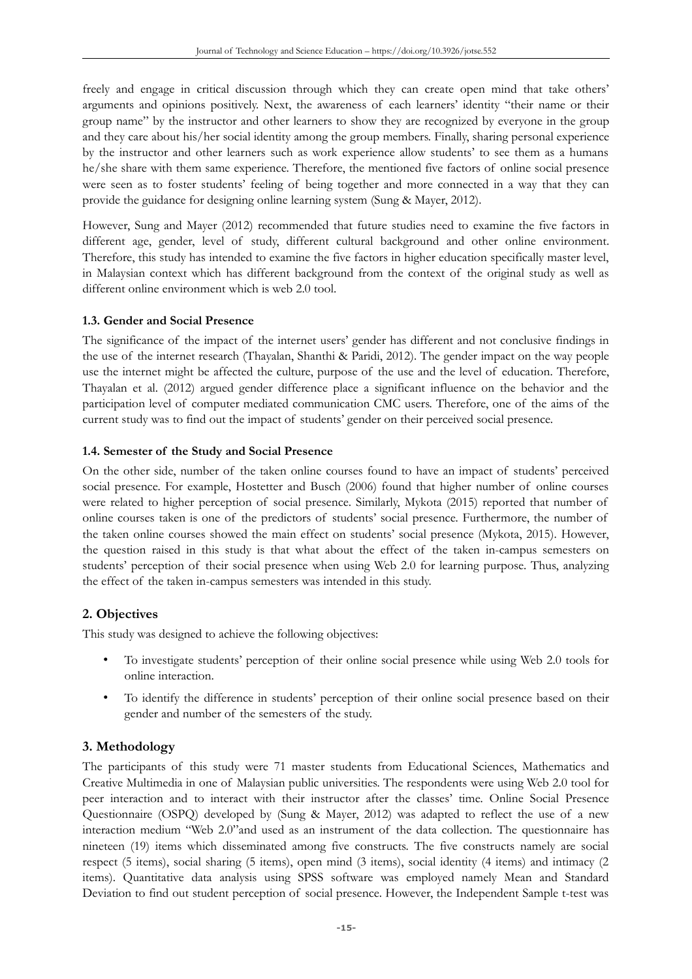freely and engage in critical discussion through which they can create open mind that take others' arguments and opinions positively. Next, the awareness of each learners' identity "their name or their group name" by the instructor and other learners to show they are recognized by everyone in the group and they care about his/her social identity among the group members. Finally, sharing personal experience by the instructor and other learners such as work experience allow students' to see them as a humans he/she share with them same experience. Therefore, the mentioned five factors of online social presence were seen as to foster students' feeling of being together and more connected in a way that they can provide the guidance for designing online learning system (Sung & Mayer, 2012).

However, Sung and Mayer (2012) recommended that future studies need to examine the five factors in different age, gender, level of study, different cultural background and other online environment. Therefore, this study has intended to examine the five factors in higher education specifically master level, in Malaysian context which has different background from the context of the original study as well as different online environment which is web 2.0 tool.

#### **1.3. Gender and Social Presence**

The significance of the impact of the internet users' gender has different and not conclusive findings in the use of the internet research (Thayalan, Shanthi & Paridi, 2012). The gender impact on the way people use the internet might be affected the culture, purpose of the use and the level of education. Therefore, Thayalan et al. (2012) argued gender difference place a significant influence on the behavior and the participation level of computer mediated communication CMC users. Therefore, one of the aims of the current study was to find out the impact of students' gender on their perceived social presence.

### **1.4. Semester of the Study and Social Presence**

On the other side, number of the taken online courses found to have an impact of students' perceived social presence. For example, Hostetter and Busch (2006) found that higher number of online courses were related to higher perception of social presence. Similarly, Mykota (2015) reported that number of online courses taken is one of the predictors of students' social presence. Furthermore, the number of the taken online courses showed the main effect on students' social presence (Mykota, 2015). However, the question raised in this study is that what about the effect of the taken in-campus semesters on students' perception of their social presence when using Web 2.0 for learning purpose. Thus, analyzing the effect of the taken in-campus semesters was intended in this study.

# **2. Objectives**

This study was designed to achieve the following objectives:

- To investigate students' perception of their online social presence while using Web 2.0 tools for online interaction.
- To identify the difference in students' perception of their online social presence based on their gender and number of the semesters of the study.

# **3. Methodology**

The participants of this study were 71 master students from Educational Sciences, Mathematics and Creative Multimedia in one of Malaysian public universities. The respondents were using Web 2.0 tool for peer interaction and to interact with their instructor after the classes' time. Online Social Presence Questionnaire (OSPQ) developed by (Sung & Mayer, 2012) was adapted to reflect the use of a new interaction medium "Web 2.0"and used as an instrument of the data collection. The questionnaire has nineteen (19) items which disseminated among five constructs. The five constructs namely are social respect (5 items), social sharing (5 items), open mind (3 items), social identity (4 items) and intimacy (2 items). Quantitative data analysis using SPSS software was employed namely Mean and Standard Deviation to find out student perception of social presence. However, the Independent Sample t-test was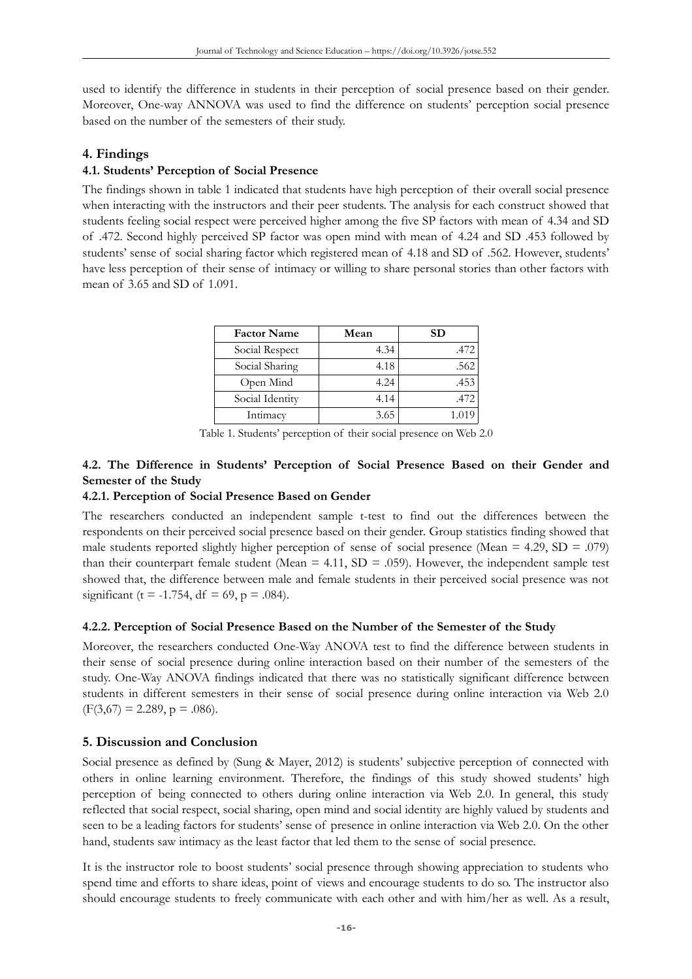used to identify the difference in students in their perception of social presence based on their gender. Moreover, One-way ANNOVA was used to find the difference on students' perception social presence based on the number of the semesters of their study.

# **4. Findings**

# **4.1. Students' Perception of Social Presence**

The findings shown in table 1 indicated that students have high perception of their overall social presence when interacting with the instructors and their peer students. The analysis for each construct showed that students feeling social respect were perceived higher among the five SP factors with mean of 4.34 and SD of .472. Second highly perceived SP factor was open mind with mean of 4.24 and SD .453 followed by students' sense of social sharing factor which registered mean of 4.18 and SD of .562. However, students' have less perception of their sense of intimacy or willing to share personal stories than other factors with mean of 3.65 and SD of 1.091.

| <b>Factor Name</b> | Mean | SD    |
|--------------------|------|-------|
| Social Respect     | 4.34 | .472  |
| Social Sharing     | 4.18 | .562  |
| Open Mind          | 4.24 | .453  |
| Social Identity    | 4.14 | .472  |
| Intimacy           | 3.65 | 1.019 |

Table 1. Students' perception of their social presence on Web 2.0

# **4.2. The Difference in Students' Perception of Social Presence Based on their Gender and Semester of the Study**

### **4.2.1. Perception of Social Presence Based on Gender**

The researchers conducted an independent sample t-test to find out the differences between the respondents on their perceived social presence based on their gender. Group statistics finding showed that male students reported slightly higher perception of sense of social presence (Mean =  $4.29$ , SD = .079) than their counterpart female student (Mean  $= 4.11$ , SD  $= .059$ ). However, the independent sample test showed that, the difference between male and female students in their perceived social presence was not significant (t = -1.754, df = 69, p = .084).

#### **4.2.2. Perception of Social Presence Based on the Number of the Semester of the Study**

Moreover, the researchers conducted One-Way ANOVA test to find the difference between students in their sense of social presence during online interaction based on their number of the semesters of the study. One-Way ANOVA findings indicated that there was no statistically significant difference between students in different semesters in their sense of social presence during online interaction via Web 2.0  $(F(3,67) = 2.289, p = .086).$ 

# **5. Discussion and Conclusion**

Social presence as defined by (Sung & Mayer, 2012) is students' subjective perception of connected with others in online learning environment. Therefore, the findings of this study showed students' high perception of being connected to others during online interaction via Web 2.0. In general, this study reflected that social respect, social sharing, open mind and social identity are highly valued by students and seen to be a leading factors for students' sense of presence in online interaction via Web 2.0. On the other hand, students saw intimacy as the least factor that led them to the sense of social presence.

It is the instructor role to boost students' social presence through showing appreciation to students who spend time and efforts to share ideas, point of views and encourage students to do so. The instructor also should encourage students to freely communicate with each other and with him/her as well. As a result,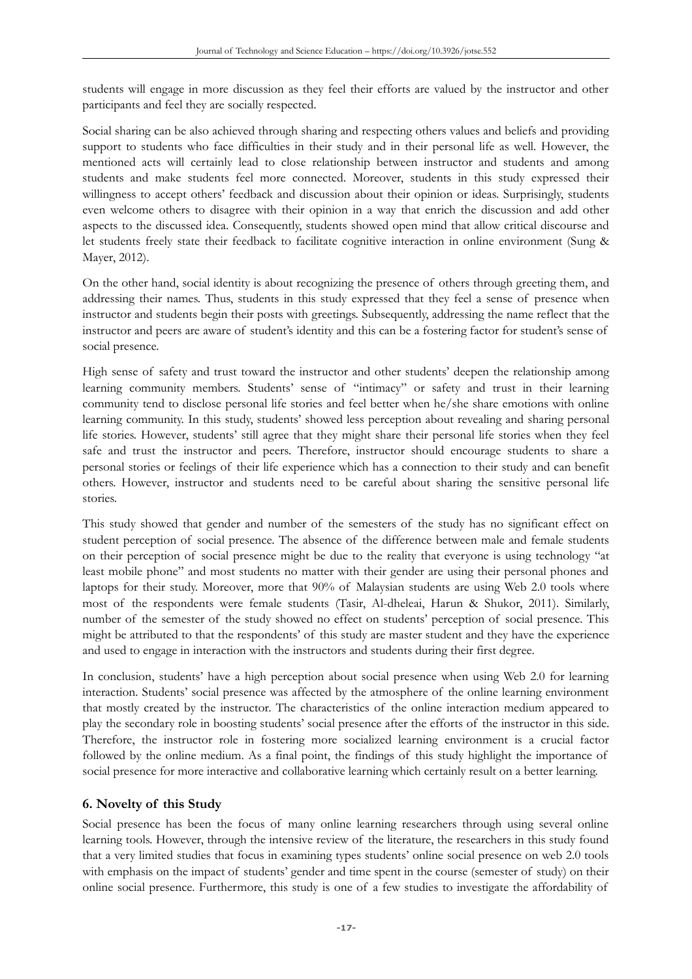students will engage in more discussion as they feel their efforts are valued by the instructor and other participants and feel they are socially respected.

Social sharing can be also achieved through sharing and respecting others values and beliefs and providing support to students who face difficulties in their study and in their personal life as well. However, the mentioned acts will certainly lead to close relationship between instructor and students and among students and make students feel more connected. Moreover, students in this study expressed their willingness to accept others' feedback and discussion about their opinion or ideas. Surprisingly, students even welcome others to disagree with their opinion in a way that enrich the discussion and add other aspects to the discussed idea. Consequently, students showed open mind that allow critical discourse and let students freely state their feedback to facilitate cognitive interaction in online environment (Sung & Mayer, 2012).

On the other hand, social identity is about recognizing the presence of others through greeting them, and addressing their names. Thus, students in this study expressed that they feel a sense of presence when instructor and students begin their posts with greetings. Subsequently, addressing the name reflect that the instructor and peers are aware of student's identity and this can be a fostering factor for student's sense of social presence.

High sense of safety and trust toward the instructor and other students' deepen the relationship among learning community members. Students' sense of "intimacy" or safety and trust in their learning community tend to disclose personal life stories and feel better when he/she share emotions with online learning community. In this study, students' showed less perception about revealing and sharing personal life stories. However, students' still agree that they might share their personal life stories when they feel safe and trust the instructor and peers. Therefore, instructor should encourage students to share a personal stories or feelings of their life experience which has a connection to their study and can benefit others. However, instructor and students need to be careful about sharing the sensitive personal life stories.

This study showed that gender and number of the semesters of the study has no significant effect on student perception of social presence. The absence of the difference between male and female students on their perception of social presence might be due to the reality that everyone is using technology "at least mobile phone" and most students no matter with their gender are using their personal phones and laptops for their study. Moreover, more that 90% of Malaysian students are using Web 2.0 tools where most of the respondents were female students (Tasir, Al-dheleai, Harun & Shukor, 2011). Similarly, number of the semester of the study showed no effect on students' perception of social presence. This might be attributed to that the respondents' of this study are master student and they have the experience and used to engage in interaction with the instructors and students during their first degree.

In conclusion, students' have a high perception about social presence when using Web 2.0 for learning interaction. Students' social presence was affected by the atmosphere of the online learning environment that mostly created by the instructor. The characteristics of the online interaction medium appeared to play the secondary role in boosting students' social presence after the efforts of the instructor in this side. Therefore, the instructor role in fostering more socialized learning environment is a crucial factor followed by the online medium. As a final point, the findings of this study highlight the importance of social presence for more interactive and collaborative learning which certainly result on a better learning.

# **6. Novelty of this Study**

Social presence has been the focus of many online learning researchers through using several online learning tools. However, through the intensive review of the literature, the researchers in this study found that a very limited studies that focus in examining types students' online social presence on web 2.0 tools with emphasis on the impact of students' gender and time spent in the course (semester of study) on their online social presence. Furthermore, this study is one of a few studies to investigate the affordability of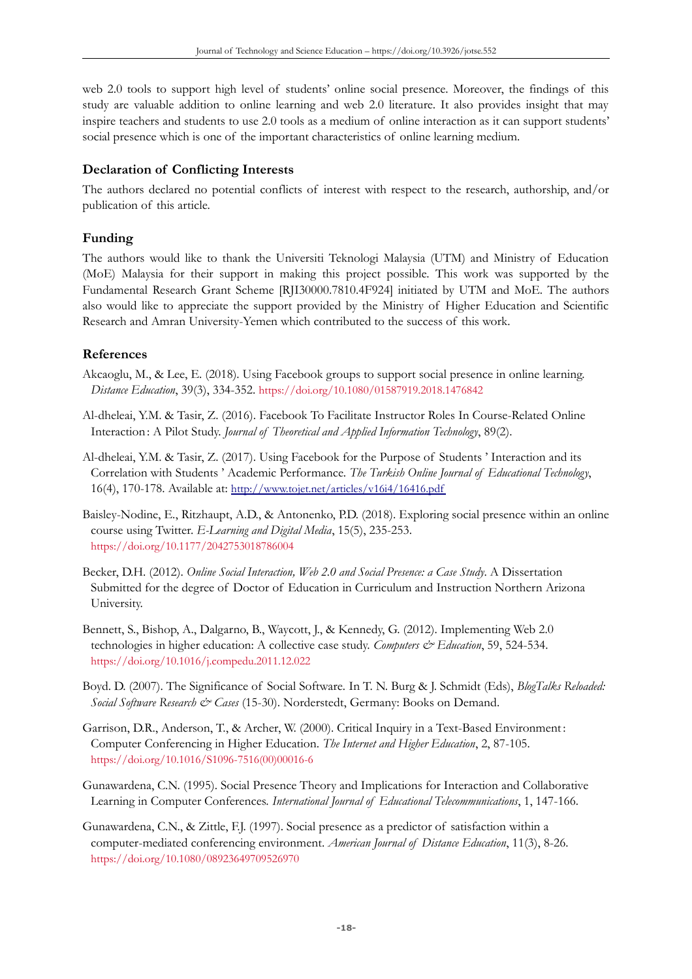web 2.0 tools to support high level of students' online social presence. Moreover, the findings of this study are valuable addition to online learning and web 2.0 literature. It also provides insight that may inspire teachers and students to use 2.0 tools as a medium of online interaction as it can support students' social presence which is one of the important characteristics of online learning medium.

### **Declaration of Conflicting Interests**

The authors declared no potential conflicts of interest with respect to the research, authorship, and/or publication of this article.

### **Funding**

The authors would like to thank the Universiti Teknologi Malaysia (UTM) and Ministry of Education (MoE) Malaysia for their support in making this project possible. This work was supported by the Fundamental Research Grant Scheme [RJI30000.7810.4F924] initiated by UTM and MoE. The authors also would like to appreciate the support provided by the Ministry of Higher Education and Scientific Research and Amran University-Yemen which contributed to the success of this work.

### **References**

- Akcaoglu, M., & Lee, E. (2018). Using Facebook groups to support social presence in online learning. *Distance Education*, 39(3), 334-352. <https://doi.org/10.1080/01587919.2018.1476842>
- Al-dheleai, Y.M. & Tasir, Z. (2016). Facebook To Facilitate Instructor Roles In Course-Related Online Interaction : A Pilot Study. *Journal of Theoretical and Applied Information Technology*, 89(2).
- Al-dheleai, Y.M. & Tasir, Z. (2017). Using Facebook for the Purpose of Students ' Interaction and its Correlation with Students ' Academic Performance. *The Turkish Online Journal of Educational Technology*, 16(4), 170-178. Available at: <http://www.tojet.net/articles/v16i4/16416.pdf>
- Baisley-Nodine, E., Ritzhaupt, A.D., & Antonenko, P.D. (2018). Exploring social presence within an online course using Twitter. *E-Learning and Digital Media*, 15(5), 235-253. <https://doi.org/10.1177/2042753018786004>
- Becker, D.H. (2012). *Online Social Interaction, Web 2.0 and Social Presence: a Case Study*. A Dissertation Submitted for the degree of Doctor of Education in Curriculum and Instruction Northern Arizona University.
- Bennett, S., Bishop, A., Dalgarno, B., Waycott, J., & Kennedy, G. (2012). Implementing Web 2.0 technologies in higher education: A collective case study. *Computers & Education*, 59, 524-534. <https://doi.org/10.1016/j.compedu.2011.12.022>
- Boyd. D. (2007). The Significance of Social Software*.* In T. N. Burg & J. Schmidt (Eds), *BlogTalks Reloaded: Social Software Research & Cases* (15-30). Norderstedt, Germany: Books on Demand.
- Garrison, D.R., Anderson, T., & Archer, W. (2000). Critical Inquiry in a Text-Based Environment : Computer Conferencing in Higher Education. *The Internet and Higher Education*, 2, 87-105. [https://doi.org/10.1016/S1096-7516\(00\)00016-6](https://doi.org/10.1016/S1096-7516(00)00016-6)
- Gunawardena, C.N. (1995). Social Presence Theory and Implications for Interaction and Collaborative Learning in Computer Conferences. *International Journal of Educational Telecommunications*, 1, 147-166.
- Gunawardena, C.N., & Zittle, F.J. (1997). Social presence as a predictor of satisfaction within a computer-mediated conferencing environment. *American Journal of Distance Education*, 11(3), 8-26. <https://doi.org/10.1080/08923649709526970>